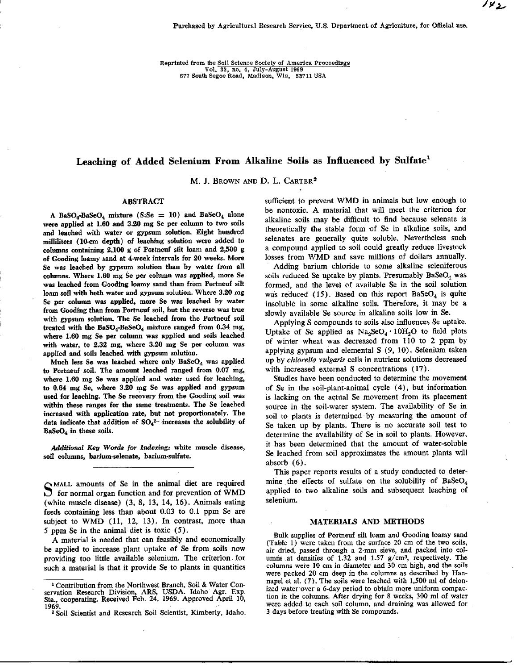Reprinted from the Soil Science Society of America Proceedings Vol, 33, no. 4, July-August 1969 677 South Segoe Road, Madison, Wis, 53711 USA

# Leaching of Added Selenium From Alkaline Soils as Influenced by Sulfate'

*M. J. BROWN AND D. L. CARTER<sup>2</sup>* 

# ABSTRACT

A BaSO<sub>4</sub>-BaSeO<sub>4</sub> mixture (S:Se = 10) and BaSeO<sub>4</sub> alone were applied at 1.60 and 3.20 mg Se per column to two soils and leached with water or gypsum solution. Eight hundred milliliters (10-cm depth) of leaching solution were added to columns containing 2,100 g of Portneuf silt loam and 2,500 g of Gooding loamy sand at 4-week intervals for 20 weeks. More Se was leached by gypsum solution than by water from all columns. Where 1.60 mg Se per column was applied, more Se was leached from Gooding loamy sand than from Portneuf silt loam soil with both water and gypsum solution. Where 3.20 mg Se per column was applied, more Se was leached by water from Gooding than from Portneuf soil, but the reverse was true with gypsum solution, The Se leached from the Portneuf soil treated with the **BaSO**4-BaSe04 mixture ranged from 0.34 mg, where 1.60 mg Se per column was applied and soils leached with water, to 2.32 mg, where 3.20 mg Se per column was applied and soils leached with gypsum solution.

Much less Se was leached where only BaSeO<sub>4</sub> was applied to Portneuf soil. The amount leached ranged from 0.07 mg, where 1.60 mg Se was applied and water used for leaching, to 0.64 mg Se, where 3.20 mg Se was applied and gypsum used for leaching. The Se recovery from the Gooding soil was within these ranges for the same treatments. The Se leached increased with application rate, but not proportionately. The data indicate that addition of  $SO_4^2$  increases the solubility of BaSe04 in these soils.

*Additional Key Words for Indexing; white* muscle disease, soil columns, barium-selenate, barium-sulfate.

MALL amounts of Se in the animal diet are required  $\overline{D}$  for normal organ function and for prevention of WMD (white muscle disease) (3, 8, 13, 14, 16). Animals eating feeds containing less than about 0.03 to 0.1 ppm Se are subject to WMD (11, 12, 13). In contrast, more than S ppm Se in the animal diet is toxic (5).

A material is needed that can feasibly and economically be applied to increase plant uptake of Se from soils now providing too little available selenium. The criterion for such a material is that it provide Se to plants in quantities

sufficient to prevent **WMD in** animals but low enough to be nontoxic. A material that will meet the criterion for alkaline soils may be difficult to find because selenate is theoretically the stable form of Se in alkaline soils, and selenates are generally quite soluble. Nevertheless such a compound applied to soil could greatly reduce livestock losses from WMD and save millions of dollars annually.

Adding barium chloride to some alkaline seleniferous soils reduced Se uptake by plants. Presumably  $BaSeO<sub>4</sub>$  was formed, and the level of available Se in the soil solution was reduced (15). Based on this report  $BaSeO<sub>4</sub>$  is quite insoluble in some alkaline soils. Therefore, it may be a slowly available Se source in alkaline soils low **in** Se.

Applying S compounds to soils also influences Se uptake. Uptake of Se applied as  $\text{Na}_3\text{SeO}_4 \cdot 10\text{H}_2\text{O}$  to field plots of winter wheat was decreased from 110 to 2 ppm by applying gypsum and elemental S (9, 10). Selenium taken up by *chlorella vulgaris* cells in nutrient solutions decreased with increased external S concentrations (17).

Studies have been conducted to determine the movement of Se in the soil-plant-animal cycle (4), but information is lacking on the actual Se movement from its placement source in the soil-water system. The availability of Se in soil to plants is determined by measuring the amount of Se taken up by plants. There is no accurate soil test to determine the availability of Se in soil to plants. However, it has been determined that the amount of water-soluble Se leached from soil approximates the amount plants will absorb (6).

This paper reports results of a study conducted to determine the effects of sulfate on the solubility of  $BaSeO<sub>4</sub>$ applied to two alkaline soils and subsequent leaching of selenium.

# MATERIALS AND METHODS

Bulk supplies of Portneuf silt loam and Gooding loamy sand (Table 1) were taken from the surface 20 cm of the two soils, air dried, passed through a 2-mm sieve, and packed into columns at densities of  $1.32$  and  $1.57$  g/cm<sup>3</sup>, respectively. The columns were 10 cm in diameter and 30 cm high, and the soils were packed 20 cm deep in the columns as described by Hannapel et al. (7). The soils were leached with 1,500 ml of deionized water over a 6-day period to obtain more uniform compaction in the columns. After drying for 8 weeks, 300 ml of water were added to each soil column, and draining was allowed for 3 days before treating with Se compounds.

Contribution from the Northwest Branch, Soil & Water Conservation Research Division, ARS, USDA. Idaho Agr. Exp. Sta., cooperating. Received Feb. 24, 1969. Approved April 10, 1969.

<sup>2</sup> Soil Scientist and Research Soil Scientist, Kimberly, Idaho.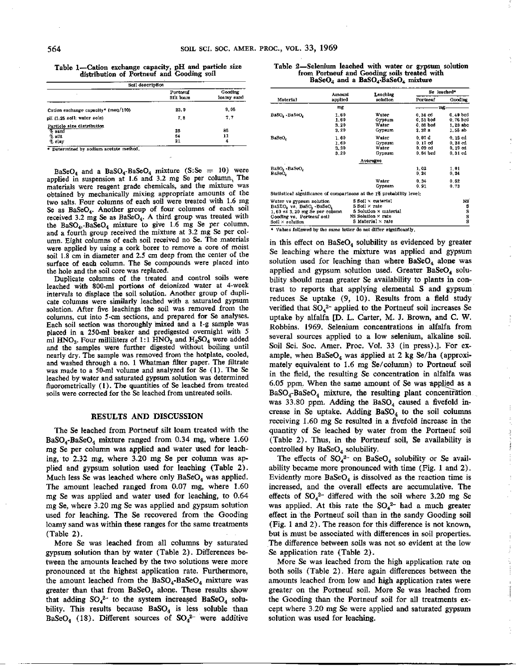Table **1-Cation exchange** capacity, **pH and particle size distribution of Portneuf and** Gooding soil

| Soil description                     |                       |                       |  |  |
|--------------------------------------|-----------------------|-----------------------|--|--|
|                                      | Portneuf<br>Silt loam | Gooding<br>loamy sand |  |  |
| Cation exchange capacity (meg/100)   | 23.9                  | 9.06                  |  |  |
| pH (1:25 soil: water soin)           | 7.8                   | 7.7                   |  |  |
| Particle size distribution<br>% sand | 25                    | 85                    |  |  |
| $%$ silt<br>% clay                   | 54<br>21              | 11<br>4               |  |  |

• Determined by sodium acetate method.

BaSeO<sub>4</sub> and a BaSO<sub>4</sub>-BaSeO<sub>4</sub> mixture (S:Se = 10) were applied in suspension at 1.6 and 3.2 mg Se per column, The materials were reagent grade chemicals, and the mixture was obtained by mechanically mixing appropriate amounts of the two salts. Four columns of each soil were treated with 1.6 mg Se as  $BaSeO<sub>4</sub>$ . Another group of four columns of each soil received 3.2 mg Se as BaSeO4. A third group was treated with the  $BaSO<sub>4</sub>$ -BaSe $O<sub>4</sub>$  mixture to give 1.6 mg Se per column. and a fourth group received the mixture at 3.2 mg Se per column. Eight columns of each soil received no Se. The materials were applied by using a cork borer to remove a core of moist soil 1.8 cm in diameter and 2.5 cm deep from the center of the surface of each column. The Se compounds were placed into the hole and the soil core was replaced.

Duplicate columns of the treated and control soils were leached with 800-ml portions of deionized water at 4-week intervals to displace the soil solution. Another group of duplicate columns were similarly leached with a saturated gypsum solution. After five leachings the soil was removed from the columns, cut into 5-cm sections, and prepared for Se analyses. Each soil section was thoroughly inixed and a l-g sample was placed in a 250-m1 beaker and predigested overnight with 5 ml  $HNO<sub>3</sub>$ . Four milliliters of 1:1  $HNO<sub>3</sub>$  and  $H<sub>2</sub>SO<sub>4</sub>$  were added and the samples were further digested without boiling until nearly dry. The sample was removed from the hotplate, cooled, and washed through a no. 1 Whatman filter paper. The filtrate was made to a 50-ml volume and analyzed for Se (1). The Se leached by water and saturated gypsum solution was determined fluorometrically (1). The quantities of Se leached from treated soils were corrected for the Se leached from untreated soils.

#### RESULTS AND DISCUSSION

The Se leached from Portneuf silt loam treated with the  $BaSO<sub>4</sub>-BaSeO<sub>4</sub> mixture ranged from 0.34 mg, where 1.60$ mg Se per column was applied and water used for leaching, to 2.32 mg, where 3.20 mg Se per column was applied and gypsum solution used for leaching (Table 2). Much less Se was leached where only  $BaSeO<sub>4</sub>$  was applied. The amount leached ranged from 0.07 mg, where 1.60 mg Se was applied and water used for leaching, to 0.64 mg Se, where 3.20 mg Se was applied and gypsum solution used for leaching. The Se recovered from the Gooding loamy sand was within these ranges for the same treatments (Table 2).

More Se was leached from all columns by saturated gypsum solution than by water (Table 2). Differences between the amounts leached by the two solutions were more pronounced at the highest application rate. Furthermore, the amount leached from the  $BaSO<sub>4</sub>-BaSeO<sub>4</sub>$  mixture was greater than that from  $BaSeO<sub>4</sub>$  alone. These results show that adding  $SO_4^2$  to the system increased BaSe $O_4$  solubility. This results because  $BaSO<sub>4</sub>$  is less soluble than BaSeO<sub>4</sub> (18). Different sources of  $SO_4^2$  were additive

**Table 2-Selenium leached with water or gypsum solution from Portneuf and Gooding soils treated with BaSeO4 and a BaSO4-BaSe04 mixture**

| Material                                                                                                                                         | Amount<br>applied             | Leaching                                                                                                        |                                                  | Se leached*                                   |  |
|--------------------------------------------------------------------------------------------------------------------------------------------------|-------------------------------|-----------------------------------------------------------------------------------------------------------------|--------------------------------------------------|-----------------------------------------------|--|
|                                                                                                                                                  |                               | solution                                                                                                        | Portneuf                                         | Gooding                                       |  |
|                                                                                                                                                  | mg                            |                                                                                                                 | mg                                               |                                               |  |
| BaSO, BaSeO,                                                                                                                                     | 1.60<br>1.60<br>3.20<br>3, 20 | Water<br>Gypsum<br>Water<br>Gypsum                                                                              | $0.34$ $cd$<br>$0.51$ bod<br>$0,88$ bod<br>2.32a | $0.49$ bod<br>0.76 bed<br>1,23 abc<br>1.55 ab |  |
| <b>BaSeO,</b>                                                                                                                                    | 1.60<br>1.60<br>3, 20<br>3.20 | Water<br>Gypsum.<br>Water<br>Gypsum                                                                             | 0.07 d<br>0.17 od<br>$0.09$ $cd$<br>0.84 bed     | 0, 15 cd<br>0.28 ed<br>0.19cd<br>0.31 ed      |  |
|                                                                                                                                                  |                               | Атегадез                                                                                                        |                                                  |                                               |  |
| BaSO, -BaSeO,<br>BaSeO,                                                                                                                          |                               |                                                                                                                 | 1.02<br>0.24                                     | 1.01<br>0.24                                  |  |
|                                                                                                                                                  |                               | Water<br>Gypsum                                                                                                 | 0.34<br>0.91                                     | 0.62<br>0.73                                  |  |
|                                                                                                                                                  |                               | Statistical significance of comparisons at the 1% probability level:                                            |                                                  |                                               |  |
| Water vs gypsum solution<br>BaSEO, vs. BaSO, -BaSeO,<br>$1.60$ vs $3.20$ mg Se per column<br>Gooding vs. Portneuf soil<br>$Sol1 \times solution$ |                               | S Soil × material<br>S Soil × rate<br>S Solution x material<br>NS Solution × rate<br>$S$ Material $\times$ rate |                                                  | NS.<br>s<br>S<br>S<br>s                       |  |

\* Values followed by the same letter do not differ significantly.

in this effect on  $BaSeO<sub>4</sub>$  solubility as evidenced by greater Se leaching where the mixture was applied and gypsum solution used for leaching than where  $BaSeO<sub>4</sub>$  alone was applied and gypsum solution used. Greater  $BaSeO<sub>4</sub>$  solubility should mean greater Se availability to plants in contrast to reports that applying elemental S and gypsum reduces Se uptake (9, 10). Results from a field study verified that  $SO_4^2$ - applied to the Portneuf soil increases Se uptake by alfalfa [D. L. Carter, M. J. Brown, and C. W. Robbins. 1969. Selenium concentrations in alfalfa from several sources applied to a low selenium, alkaline soil. Soil Sci. Soc. Amer. Proc. Vol. 33 (in press).]. For example, when  $BaSeO<sub>4</sub>$  was applied at 2 kg Se/ha (approximately equivalent to 1.6 mg Se/column) to Portneuf soil in the field, the resulting Se concentration in alfalfa was 6.05 ppm. When the same amount of Se was applied as a  $BaSO<sub>4</sub>-BaSeO<sub>4</sub>$  mixture, the resulting plant concentration. was 33.80 ppm. Adding the BaSO<sub>4</sub> caused a fivefold increase in Se uptake. Adding  $BaSO<sub>4</sub>$  to the soil columns receiving 1.60 mg Se resulted in a fivefold increase in the quantity of Se leached by water from the Portneuf soil (Table 2). Thus, in the Portneuf soil, Se availability is controlled by BaSeO<sub>4</sub> solubility.

 $\frac{3}{\gamma_2}$ 

 $\sim$  and  $\sim$   $\sim$   $\sim$ 

 $\begin{array}{c} 1 \\ 1 \\ 1 \end{array}$ 

The effects of  $SO_4^{2-}$  on BaSeO<sub>4</sub> solubility or Se availability became more pronounced with time (Fig. 1 and 2). Evidently more  $BaSeO<sub>4</sub>$  is dissolved as the reaction time is increased, and the overall effects are accumulative. The effects of  $SO_4^2$  differed with the soil where 3.20 mg Se was applied. At this rate the  $SO_4^2$ - had a much greater effect in the Portneuf soil than in the sandy Gooding soil (Fig. 1 and 2). The reason for this difference is not known, but is must be associated with differences in soil properties. The difference between soils was not so evident at the low Se application rate (Table 2).

More Se was leached from the high application rate on both soils (Table 2). Here again differences between the amounts leached from low and high application rates were greater on the Portneuf soil. More Se was leached from the Gooding than the Portneuf soil for all treatments except where 3.20 mg Se were applied and saturated gypsum solution was used for leaching.